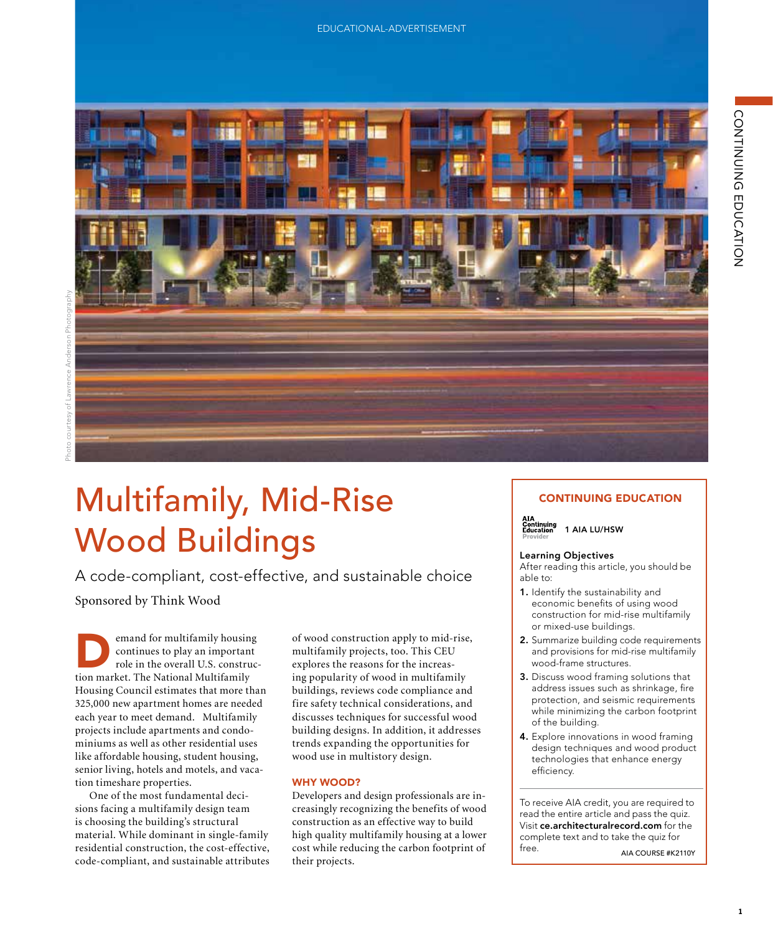



# Multifamily, Mid-Rise Wood Buildings Stella Apartments, Marina Del Ray, California. Photo courtesy: Lawrence Anderson Photography

A code-compliant, cost-effective, and sustainable choice  $\begin{array}{|c|c|c|}\n\hline\n\text{SCAIADIE CNOICE} & \text{able to:} \quad\text{SCAIAD} \quad\text{and} \quad\text{SCAIAD} \quad\text{and} \quad\text{SCA} \quad\text{and} \quad\text{SCA} \quad\text{and} \quad\text{SCA} \quad\text{and} \quad\text{SCA} \quad\text{and} \quad\text{SCA} \quad\text{and} \quad\text{SCA} \quad\text{and} \quad\text{SCA} \quad\text{and} \quad\text{SCA} \quad\text{and} \quad\text{SCA} \quad\text{and} \quad\text{SCA} \quad\text{$ 

Sponsored by Think Wood

emand for multifamily housing<br>
tion market. The National Multifamily<br>
Housing Council estimates that more than continues to play an important continues to play an important more to that in the overall U.S. construc-Housing Council estimates that more than 325,000 new apartment homes are needed fire sa each year to meet demand. Multifamily projects include apartments and condominiums as well as other residential uses like affordable housing, student housing, wood u senior living, hotels and motels, and vacation timeshare properties. emand for multifamily housing

One of the most fundamental decisions facing a multifamily design team is choosing the building's structural Is choosing the building obtactural contains the contains of the most fundamental. While dominant in single-family residential construction, the cost-effective, residential construction, the cost-effective,<br>code-compliant, and sustainable attributes

 $\begin{array}{|c|c|c|c|c|c|}\n\hline\n\text{ts. In addition, it addresses} & \text{at the boundary of the boundary.} \\
\text{at the boundary of the boundary of the boundary of the boundary.}\n\end{array}$ wood use in multistory design. of wood construction apply to mid-rise, multifamily projects, too. This CEU explores the reasons for the increasing popularity of wood in multifamily buildings, reviews code compliance and fire safety technical considerations, and discusses techniques for successful wood building designs. In addition, it addresses trends expanding the opportunities for

#### WHY WOOD?

creasingly recognizing the benefits of wood EXECUTE AND THE USE TO DEVELOP A USE CONSTRUCTION OF THE DEVELOPMENT OF THE DEVICE ARCHITECTURAL AND THE DEVICI<br>  $\begin{bmatrix}\n\text{O} & \text{O} & \text{O} & \text{O} \\
\text{O} & \text{O} & \text{O} & \text{O} & \text{O}\n\end{bmatrix}$  Complete text and to take the quiz for cost while reducing the carbon footprint of free. ALA COURSE #K21 Developers and design professionals are inconstruction as an effective way to build their projects.

### CONTINUING EDUCATION



1 AIA LU/HSW

#### Learning Objectives

construction apply to mid-rise multi-family determing Objectives<br>
After reading this article, you should be able to:

- economic benefits of using wood<br>construction for mid-rise multifamily economic benefits of using wood or mixed-use buildings.
- ruction apply to mid-rise,<br> **2.** Summarize building code requirements rojects, too. This CEU and provisions for mid-rise multifamily<br>asons for the increas-<br>consideration of the structures. wood-frame structures.
- of wood in multifamily<br>ews code compliance and address issues such as shrinkage, fire nical considerations, and<br>it additional while minimizing the carbon footprint 3. Discuss wood framing solutions that protection, and seismic requirements of the building.
	- design techniques and wood product technologies that enhance energy efficiency.

To receive AIA credit, you are required to read the entire article and pass the quiz. Visit ce.architecturalrecord.com for the complete text and to take the quiz for free. AIA COURSE #K2110Y

3. Discuss wood framing solutions that address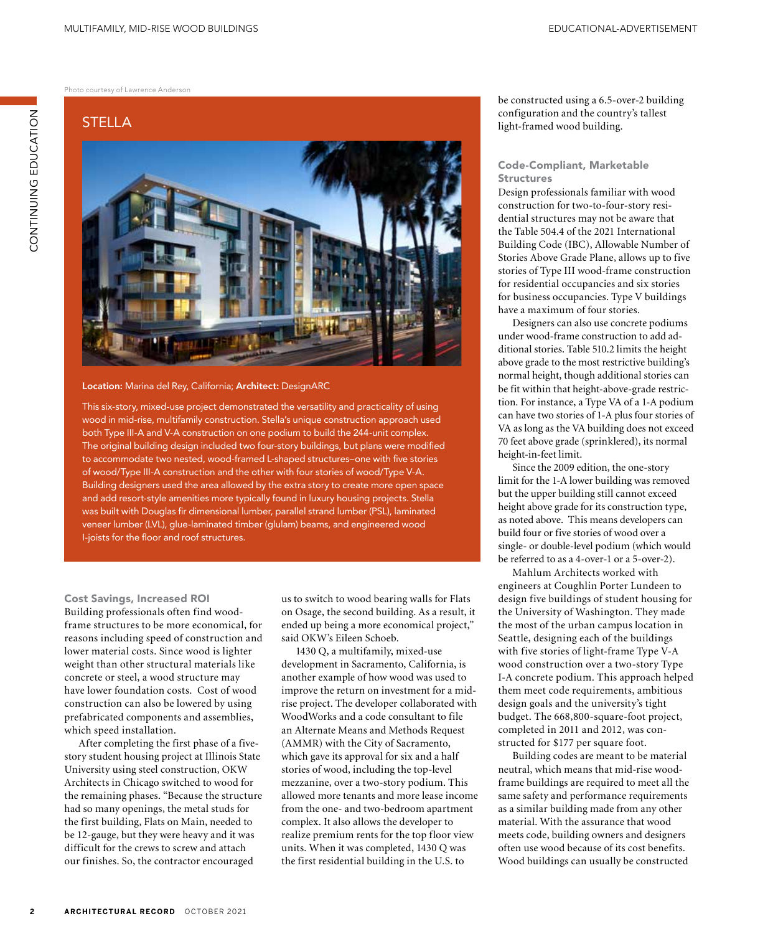Photo courtesy of Lawrence Anderson

# STELLA



#### Location: Marina del Rey, California; Architect: DesignARC

This six-story, mixed-use project demonstrated the versatility and practicality of using wood in mid-rise, multifamily construction. Stella's unique construction approach used both Type III-A and V-A construction on one podium to build the 244-unit complex. The original building design included two four-story buildings, but plans were modified to accommodate two nested, wood-framed L-shaped structures–one with five stories of wood/Type III-A construction and the other with four stories of wood/Type V-A. Building designers used the area allowed by the extra story to create more open space and add resort-style amenities more typically found in luxury housing projects. Stella was built with Douglas fir dimensional lumber, parallel strand lumber (PSL), laminated veneer lumber (LVL), glue-laminated timber (glulam) beams, and engineered wood I-joists for the floor and roof structures.

#### Cost Savings, Increased ROI Building professionals often find woodframe structures to be more economical, for reasons including speed of construction and lower material costs. Since wood is lighter weight than other structural materials like concrete or steel, a wood structure may have lower foundation costs. Cost of wood construction can also be lowered by using prefabricated components and assemblies, which speed installation.

After completing the first phase of a fivestory student housing project at Illinois State University using steel construction, OKW Architects in Chicago switched to wood for the remaining phases. "Because the structure had so many openings, the metal studs for the first building, Flats on Main, needed to be 12-gauge, but they were heavy and it was difficult for the crews to screw and attach our finishes. So, the contractor encouraged

us to switch to wood bearing walls for Flats on Osage, the second building. As a result, it ended up being a more economical project," said OKW's Eileen Schoeb.

1430 Q, a multifamily, mixed-use development in Sacramento, California, is another example of how wood was used to improve the return on investment for a midrise project. The developer collaborated with WoodWorks and a code consultant to file an Alternate Means and Methods Request (AMMR) with the City of Sacramento, which gave its approval for six and a half stories of wood, including the top-level mezzanine, over a two-story podium. This allowed more tenants and more lease income from the one- and two-bedroom apartment complex. It also allows the developer to realize premium rents for the top floor view units. When it was completed, 1430 Q was the first residential building in the U.S. to

be constructed using a 6.5-over-2 building configuration and the country's tallest light-framed wood building.

#### Code-Compliant, Marketable Structures

Design professionals familiar with wood construction for two-to-four-story residential structures may not be aware that the Table 504.4 of the 2021 International Building Code (IBC), Allowable Number of Stories Above Grade Plane, allows up to five stories of Type III wood-frame construction for residential occupancies and six stories for business occupancies. Type V buildings have a maximum of four stories.

Designers can also use concrete podiums under wood-frame construction to add additional stories. Table 510.2 limits the height above grade to the most restrictive building's normal height, though additional stories can be fit within that height-above-grade restriction. For instance, a Type VA of a 1-A podium can have two stories of 1-A plus four stories of VA as long as the VA building does not exceed 70 feet above grade (sprinklered), its normal height-in-feet limit.

Since the 2009 edition, the one-story limit for the 1-A lower building was removed but the upper building still cannot exceed height above grade for its construction type, as noted above. This means developers can build four or five stories of wood over a single- or double-level podium (which would be referred to as a 4-over-1 or a 5-over-2).

Mahlum Architects worked with engineers at Coughlin Porter Lundeen to design five buildings of student housing for the University of Washington. They made the most of the urban campus location in Seattle, designing each of the buildings with five stories of light-frame Type V-A wood construction over a two-story Type I-A concrete podium. This approach helped them meet code requirements, ambitious design goals and the university's tight budget. The 668,800-square-foot project, completed in 2011 and 2012, was constructed for \$177 per square foot.

Building codes are meant to be material neutral, which means that mid-rise woodframe buildings are required to meet all the same safety and performance requirements as a similar building made from any other material. With the assurance that wood meets code, building owners and designers often use wood because of its cost benefits. Wood buildings can usually be constructed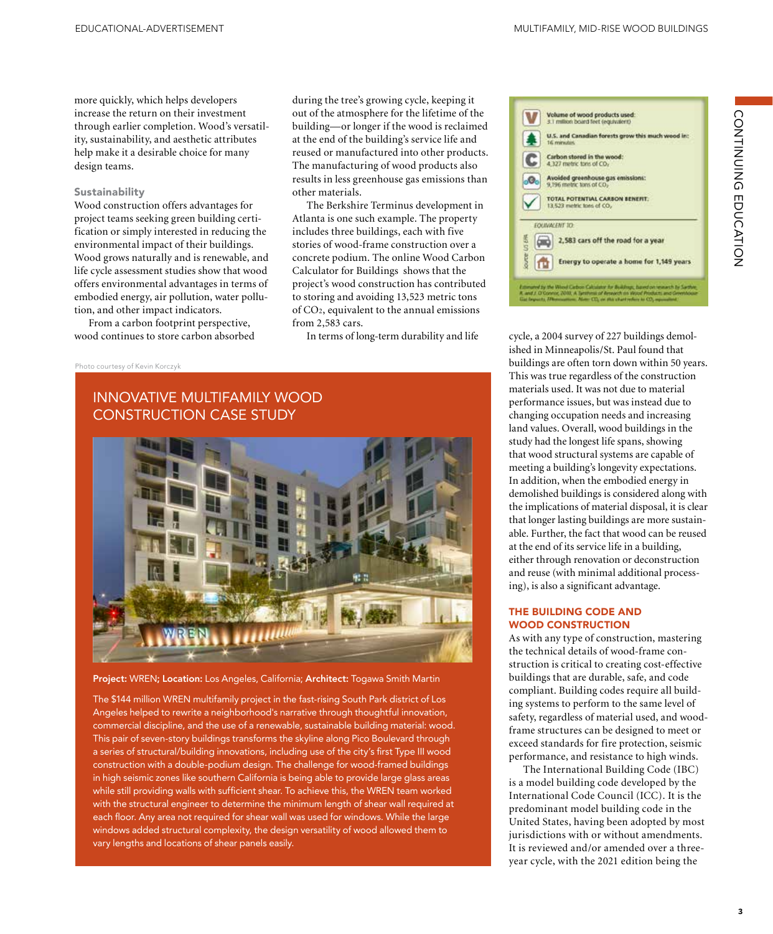more quickly, which helps developers increase the return on their investment through earlier completion. Wood's versatility, sustainability, and aesthetic attributes help make it a desirable choice for many design teams.

#### Sustainability

Wood construction offers advantages for project teams seeking green building certification or simply interested in reducing the environmental impact of their buildings. Wood grows naturally and is renewable, and life cycle assessment studies show that wood offers environmental advantages in terms of embodied energy, air pollution, water pollution, and other impact indicators.

From a carbon footprint perspective, wood continues to store carbon absorbed

during the tree's growing cycle, keeping it out of the atmosphere for the lifetime of the building—or longer if the wood is reclaimed at the end of the building's service life and reused or manufactured into other products. The manufacturing of wood products also results in less greenhouse gas emissions than other materials.

The Berkshire Terminus development in Atlanta is one such example. The property includes three buildings, each with five stories of wood-frame construction over a concrete podium. The online Wood Carbon Calculator for Buildings shows that the project's wood construction has contributed to storing and avoiding 13,523 metric tons of CO2, equivalent to the annual emissions from 2,583 cars.

Photo courtesy of Kevin Korczyk

# INNOVATIVE MULTIFAMILY WOOD CONSTRUCTION CASE STUDY



Project: WREN; Location: Los Angeles, California; Architect: Togawa Smith Martin

The \$144 million WREN multifamily project in the fast-rising South Park district of Los Angeles helped to rewrite a neighborhood's narrative through thoughtful innovation, commercial discipline, and the use of a renewable, sustainable building material: wood. This pair of seven-story buildings transforms the skyline along Pico Boulevard through a series of structural/building innovations, including use of the city's first Type III wood construction with a double-podium design. The challenge for wood-framed buildings in high seismic zones like southern California is being able to provide large glass areas while still providing walls with sufficient shear. To achieve this, the WREN team worked with the structural engineer to determine the minimum length of shear wall required at each floor. Any area not required for shear wall was used for windows. While the large windows added structural complexity, the design versatility of wood allowed them to vary lengths and locations of shear panels easily.



In terms of long-term durability and life cycle, a 2004 survey of 227 buildings demolished in Minneapolis/St. Paul found that buildings are often torn down within 50 years. This was true regardless of the construction materials used. It was not due to material performance issues, but was instead due to changing occupation needs and increasing land values. Overall, wood buildings in the study had the longest life spans, showing that wood structural systems are capable of meeting a building's longevity expectations. In addition, when the embodied energy in demolished buildings is considered along with the implications of material disposal, it is clear that longer lasting buildings are more sustainable. Further, the fact that wood can be reused at the end of its service life in a building, either through renovation or deconstruction and reuse (with minimal additional processing), is also a significant advantage.

#### THE BUILDING CODE AND WOOD CONSTRUCTION

As with any type of construction, mastering the technical details of wood-frame construction is critical to creating cost-effective buildings that are durable, safe, and code compliant. Building codes require all building systems to perform to the same level of safety, regardless of material used, and woodframe structures can be designed to meet or exceed standards for fire protection, seismic performance, and resistance to high winds.

The International Building Code (IBC) is a model building code developed by the International Code Council (ICC). It is the predominant model building code in the United States, having been adopted by most jurisdictions with or without amendments. It is reviewed and/or amended over a threeyear cycle, with the 2021 edition being the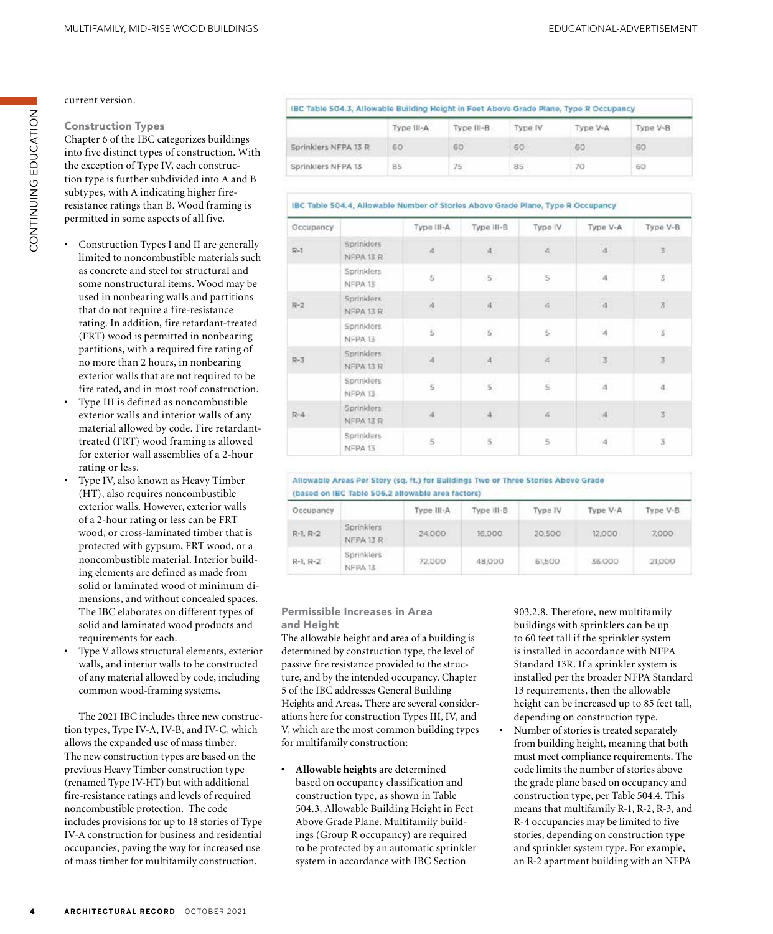current version.

# Construction Types

Chapter 6 of the IBC categorizes buildings into five distinct types of construction. With the exception of Type IV, each construction type is further subdivided into A and B subtypes, with A indicating higher fireresistance ratings than B. Wood framing is permitted in some aspects of all five.

- Construction Types I and II are generally limited to noncombustible materials such as concrete and steel for structural and some nonstructural items. Wood may be used in nonbearing walls and partitions that do not require a fire-resistance rating. In addition, fire retardant-treated (FRT) wood is permitted in nonbearing partitions, with a required fire rating of no more than 2 hours, in nonbearing exterior walls that are not required to be fire rated, and in most roof construction.
- Type III is defined as noncombustible exterior walls and interior walls of any material allowed by code. Fire retardanttreated (FRT) wood framing is allowed for exterior wall assemblies of a 2-hour rating or less.
- Type IV, also known as Heavy Timber (HT), also requires noncombustible exterior walls. However, exterior walls of a 2-hour rating or less can be FRT wood, or cross-laminated timber that is protected with gypsum, FRT wood, or a noncombustible material. Interior building elements are defined as made from solid or laminated wood of minimum dimensions, and without concealed spaces. The IBC elaborates on different types of solid and laminated wood products and requirements for each.
- Type V allows structural elements, exterior walls, and interior walls to be constructed of any material allowed by code, including common wood-framing systems.

The 2021 IBC includes three new construction types, Type IV-A, IV-B, and IV-C, which allows the expanded use of mass timber. The new construction types are based on the previous Heavy Timber construction type (renamed Type IV-HT) but with additional fire-resistance ratings and levels of required noncombustible protection. The code includes provisions for up to 18 stories of Type IV-A construction for business and residential occupancies, paving the way for increased use of mass timber for multifamily construction.

|                                                                                | Type III-A | Type III-B | Type IV | Type V-A | Type V-B            |
|--------------------------------------------------------------------------------|------------|------------|---------|----------|---------------------|
| Sprinklers NFPA 13 R<br>and the first state of the first state of the first of | 60         | 60         | 60      | $-60$    | 60                  |
| Sprinklers NFPA 13                                                             | 85         | 75         | 85      | 70       | <b>STARTS</b><br>63 |

### IBC Table 504.4, Allowable Number of Storles Above Grade Plane, Type R Occupancy

| Occupancy        |                                | Type III-A                                                                                               | Type III-B                 | Type IV                  | Type V-A           | Type V-B                  |
|------------------|--------------------------------|----------------------------------------------------------------------------------------------------------|----------------------------|--------------------------|--------------------|---------------------------|
| $R-1$            | Sprinklers<br>NFPA 13 R        | $\hat{a}$                                                                                                | $\mathbf{4}$               | 4                        | $\bar{4}$          | $\overline{\mathbf{5}}$   |
|                  | <b>Sprinklers</b><br>NFPA 13   | $\mathsf{S}% _{T}=\mathsf{S}_{T}\!\left( a,b\right) ,\mathsf{S}_{T}=\mathsf{S}_{T}\!\left( a,b\right) ,$ | 5.5                        | $\mathbb S$              | $\cdot$ 4 $\cdot$  | 3                         |
| $R-2$            | <b>Sprinklers</b><br>NFPA 13 R | $\boldsymbol{A}$                                                                                         | $\boldsymbol{A}$           | $\overline{\mathcal{L}}$ | $\bar{A}$          | $\bar{\bf 3}$             |
|                  | Sprinklers<br>NFPA 13          | $\overline{5}$                                                                                           | $\mathbf{5}$               | $\mathbb{S}$             | $\overline{\bf 4}$ | $\overline{\mathbf{5}}$   |
| $R-3$            | <b>Sprinklers</b><br>NFPA 13 R | 4                                                                                                        | $\ensuremath{\mathcal{A}}$ | $\hat{A}$                | $\vec{3}$          | $\hat{\mathbf{3}}$        |
|                  | Sprinklers<br>NFPA 13          | $\tilde{\mathsf{s}}$                                                                                     | $\mathbbmss{5}$            | $\overline{\mathsf{s}}$  | $\boldsymbol{A}$   | $\overline{\mathfrak{a}}$ |
| 442,000<br>$R-4$ | <b>Sprinklers</b><br>NFPA 13 R | $\dot{A}$                                                                                                | $\bar{A}$                  | $\frac{4}{7}$            | $\vert 4 \rangle$  | $\overline{\mathcal{S}}$  |
|                  | Sprinklers<br>NFPA 13          | $\tilde{\mathbf{5}}$<br>æ                                                                                | $\,$ 5 $\,$                | $\overline{5}$           | $\bar{a}$          | $\overline{\mathbf{3}}$   |

Allowable Areas Per Story (sq. ft.) for Buildings Two or Three Stories Above Grade (based on IBC Table 506.2 allowable area factors)

| Occupancy  |                                | Type III-A | Type III-B | Type IV | Type V-A | Type V-B |
|------------|--------------------------------|------------|------------|---------|----------|----------|
| $R-1, R-2$ | <b>Sprinklers</b><br>NFPA 13 R | 24,000     | 16,000     | 20.500  | 12,000   | 7,000    |
| $R-1, R-2$ | Sprinklers<br>NFPA 13          | 72,000     | 48,000     | 61,500  | 36,000   | 21,000   |

## Permissible Increases in Area and Height

The allowable height and area of a building is determined by construction type, the level of passive fire resistance provided to the structure, and by the intended occupancy. Chapter 5 of the IBC addresses General Building Heights and Areas. There are several considerations here for construction Types III, IV, and V, which are the most common building types for multifamily construction:

**• Allowable heights** are determined based on occupancy classification and construction type, as shown in Table 504.3, Allowable Building Height in Feet Above Grade Plane. Multifamily buildings (Group R occupancy) are required to be protected by an automatic sprinkler system in accordance with IBC Section

903.2.8. Therefore, new multifamily buildings with sprinklers can be up to 60 feet tall if the sprinkler system is installed in accordance with NFPA Standard 13R. If a sprinkler system is installed per the broader NFPA Standard 13 requirements, then the allowable height can be increased up to 85 feet tall, depending on construction type. • Number of stories is treated separately from building height, meaning that both must meet compliance requirements. The

code limits the number of stories above the grade plane based on occupancy and construction type, per Table 504.4. This means that multifamily R-1, R-2, R-3, and R-4 occupancies may be limited to five stories, depending on construction type and sprinkler system type. For example, an R-2 apartment building with an NFPA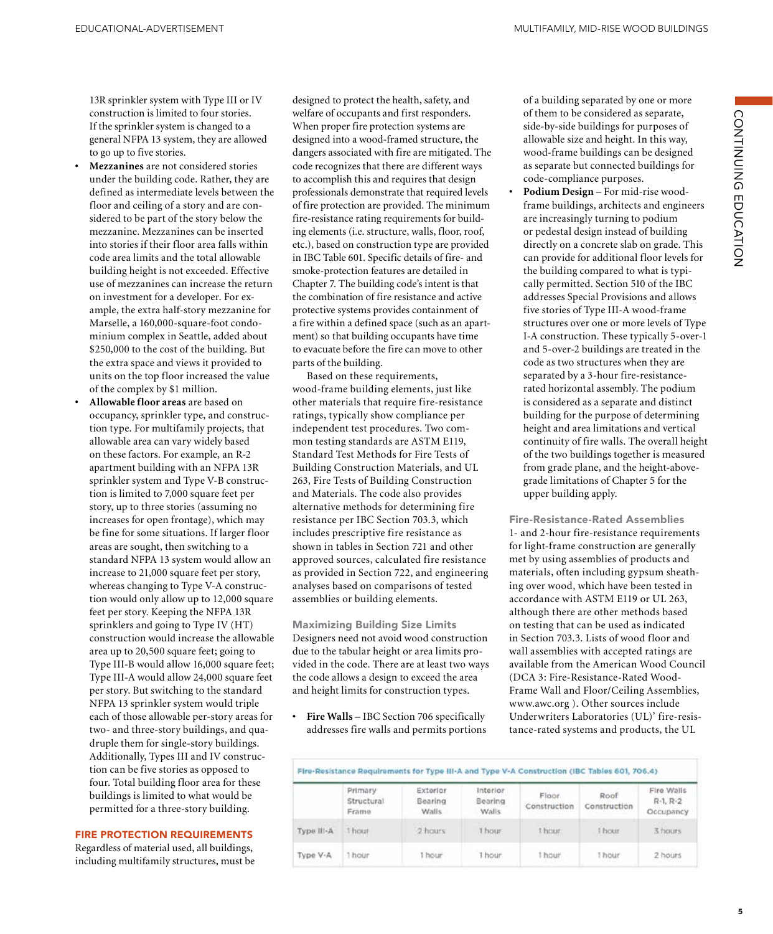13R sprinkler system with Type III or IV construction is limited to four stories. If the sprinkler system is changed to a general NFPA 13 system, they are allowed to go up to five stories.

- **• Mezzanines** are not considered stories under the building code. Rather, they are defined as intermediate levels between the floor and ceiling of a story and are considered to be part of the story below the mezzanine. Mezzanines can be inserted into stories if their floor area falls within code area limits and the total allowable building height is not exceeded. Effective use of mezzanines can increase the return on investment for a developer. For example, the extra half-story mezzanine for Marselle, a 160,000-square-foot condominium complex in Seattle, added about \$250,000 to the cost of the building. But the extra space and views it provided to units on the top floor increased the value of the complex by \$1 million.
- **• Allowable floor areas** are based on occupancy, sprinkler type, and construction type. For multifamily projects, that allowable area can vary widely based on these factors. For example, an R-2 apartment building with an NFPA 13R sprinkler system and Type V-B construction is limited to 7,000 square feet per story, up to three stories (assuming no increases for open frontage), which may be fine for some situations. If larger floor areas are sought, then switching to a standard NFPA 13 system would allow an increase to 21,000 square feet per story, whereas changing to Type V-A construction would only allow up to 12,000 square feet per story. Keeping the NFPA 13R sprinklers and going to Type IV (HT) construction would increase the allowable area up to 20,500 square feet; going to Type III-B would allow 16,000 square feet; Type III-A would allow 24,000 square feet per story. But switching to the standard NFPA 13 sprinkler system would triple each of those allowable per-story areas for two- and three-story buildings, and quadruple them for single-story buildings. Additionally, Types III and IV construction can be five stories as opposed to four. Total building floor area for these buildings is limited to what would be permitted for a three-story building.

#### FIRE PROTECTION REQUIREMENTS

Regardless of material used, all buildings, including multifamily structures, must be designed to protect the health, safety, and welfare of occupants and first responders. When proper fire protection systems are designed into a wood-framed structure, the dangers associated with fire are mitigated. The code recognizes that there are different ways to accomplish this and requires that design professionals demonstrate that required levels of fire protection are provided. The minimum fire-resistance rating requirements for building elements (i.e. structure, walls, floor, roof, etc.), based on construction type are provided in IBC Table 601. Specific details of fire- and smoke-protection features are detailed in Chapter 7. The building code's intent is that the combination of fire resistance and active protective systems provides containment of a fire within a defined space (such as an apartment) so that building occupants have time to evacuate before the fire can move to other parts of the building.

Based on these requirements, wood-frame building elements, just like other materials that require fire-resistance ratings, typically show compliance per independent test procedures. Two common testing standards are ASTM E119, Standard Test Methods for Fire Tests of Building Construction Materials, and UL 263, Fire Tests of Building Construction and Materials. The code also provides alternative methods for determining fire resistance per IBC Section 703.3, which includes prescriptive fire resistance as shown in tables in Section 721 and other approved sources, calculated fire resistance as provided in Section 722, and engineering analyses based on comparisons of tested assemblies or building elements.

Maximizing Building Size Limits Designers need not avoid wood construction due to the tabular height or area limits provided in the code. There are at least two ways the code allows a design to exceed the area and height limits for construction types.

**• Fire Walls** – IBC Section 706 specifically addresses fire walls and permits portions of a building separated by one or more of them to be considered as separate, side-by-side buildings for purposes of allowable size and height. In this way, wood-frame buildings can be designed as separate but connected buildings for code-compliance purposes.

CONTINUING EDUCATION

CONTINUING EDUCATION

**• Podium Design** – For mid-rise woodframe buildings, architects and engineers are increasingly turning to podium or pedestal design instead of building directly on a concrete slab on grade. This can provide for additional floor levels for the building compared to what is typically permitted. Section 510 of the IBC addresses Special Provisions and allows five stories of Type III-A wood-frame structures over one or more levels of Type I-A construction. These typically 5-over-1 and 5-over-2 buildings are treated in the code as two structures when they are separated by a 3-hour fire-resistancerated horizontal assembly. The podium is considered as a separate and distinct building for the purpose of determining height and area limitations and vertical continuity of fire walls. The overall height of the two buildings together is measured from grade plane, and the height-abovegrade limitations of Chapter 5 for the upper building apply.

Fire-Resistance-Rated Assemblies 1- and 2-hour fire-resistance requirements for light-frame construction are generally met by using assemblies of products and materials, often including gypsum sheathing over wood, which have been tested in accordance with ASTM E119 or UL 263, although there are other methods based on testing that can be used as indicated in Section 703.3. Lists of wood floor and wall assemblies with accepted ratings are available from the American Wood Council (DCA 3: Fire-Resistance-Rated Wood-Frame Wall and Floor/Ceiling Assemblies, www.awc.org ). Other sources include Underwriters Laboratories (UL)' fire-resistance-rated systems and products, the UL

|            | Primary<br>Structural<br>Frame | Exterior<br>Bearing<br>Walls. | Interior<br>Bearing<br>Walls | Floor.<br>Construction<br>しんたいき アンセンター アンドレス | Roof<br>Construction | Fire Walls<br>$R-1, R-2$<br>Occupancy |
|------------|--------------------------------|-------------------------------|------------------------------|----------------------------------------------|----------------------|---------------------------------------|
| Type III-A | 1 hour                         | 2 hours                       | 1 hour                       | I hour.                                      | <b>HOUT</b>          | 3 hours                               |
| Type V-A   | hour                           | hour                          | 1 hour                       | 1 hour                                       | 1 hour               | 2 hours                               |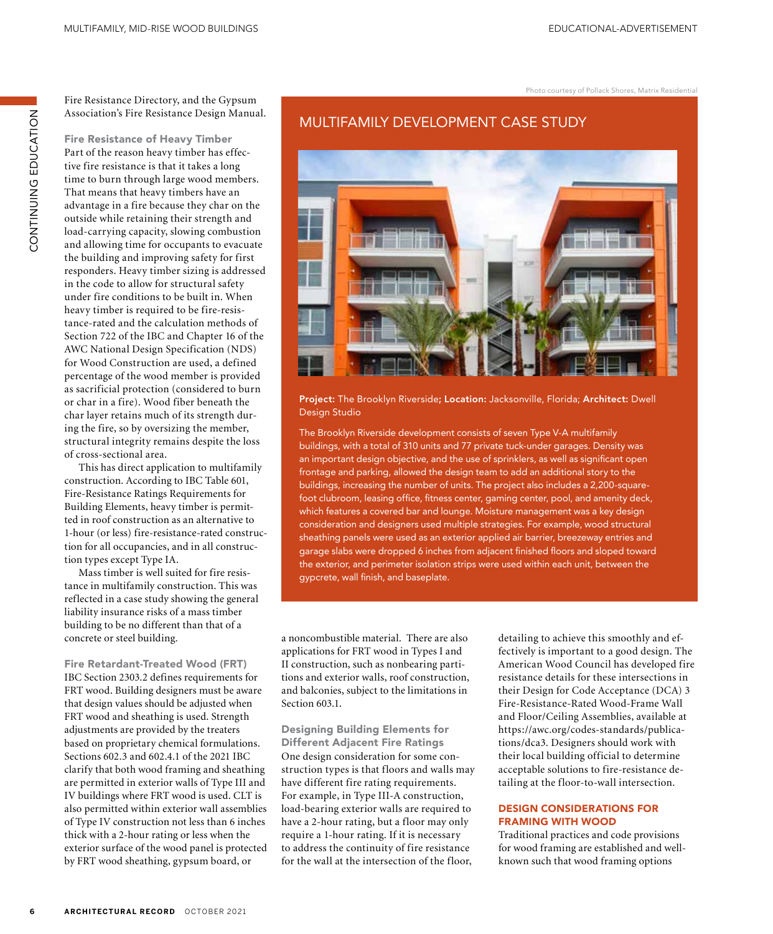Photo courtesy of Pollack Shores, Matrix Residential

Fire Resistance Directory, and the Gypsum Association's Fire Resistance Design Manual.

ZOI-YUNG UNINNINZOU

CONTINUING EDUCATION

Fire Resistance of Heavy Timber Part of the reason heavy timber has effective fire resistance is that it takes a long time to burn through large wood members. That means that heavy timbers have an advantage in a fire because they char on the outside while retaining their strength and load-carrying capacity, slowing combustion and allowing time for occupants to evacuate the building and improving safety for first responders. Heavy timber sizing is addressed in the code to allow for structural safety under fire conditions to be built in. When heavy timber is required to be fire-resistance-rated and the calculation methods of Section 722 of the IBC and Chapter 16 of the AWC National Design Specification (NDS) for Wood Construction are used, a defined percentage of the wood member is provided as sacrificial protection (considered to burn or char in a fire). Wood fiber beneath the char layer retains much of its strength during the fire, so by oversizing the member, structural integrity remains despite the loss of cross-sectional area.

This has direct application to multifamily construction. According to IBC Table 601, Fire-Resistance Ratings Requirements for Building Elements, heavy timber is permitted in roof construction as an alternative to 1-hour (or less) fire-resistance-rated construction for all occupancies, and in all construction types except Type IA.

Mass timber is well suited for fire resistance in multifamily construction. This was reflected in a case study showing the general liability insurance risks of a mass timber building to be no different than that of a concrete or steel building.

Fire Retardant-Treated Wood (FRT) IBC Section 2303.2 defines requirements for FRT wood. Building designers must be aware that design values should be adjusted when FRT wood and sheathing is used. Strength adjustments are provided by the treaters based on proprietary chemical formulations. Sections 602.3 and 602.4.1 of the 2021 IBC clarify that both wood framing and sheathing are permitted in exterior walls of Type III and IV buildings where FRT wood is used. CLT is also permitted within exterior wall assemblies of Type IV construction not less than 6 inches thick with a 2-hour rating or less when the exterior surface of the wood panel is protected by FRT wood sheathing, gypsum board, or

# MULTIFAMILY DEVELOPMENT CASE STUDY



Project: The Brooklyn Riverside; Location: Jacksonville, Florida; Architect: Dwell Design Studio

The Brooklyn Riverside development consists of seven Type V-A multifamily buildings, with a total of 310 units and 77 private tuck-under garages. Density was an important design objective, and the use of sprinklers, as well as significant open frontage and parking, allowed the design team to add an additional story to the buildings, increasing the number of units. The project also includes a 2,200-squarefoot clubroom, leasing office, fitness center, gaming center, pool, and amenity deck, which features a covered bar and lounge. Moisture management was a key design consideration and designers used multiple strategies. For example, wood structural sheathing panels were used as an exterior applied air barrier, breezeway entries and garage slabs were dropped 6 inches from adjacent finished floors and sloped toward the exterior, and perimeter isolation strips were used within each unit, between the gypcrete, wall finish, and baseplate.

a noncombustible material. There are also applications for FRT wood in Types I and II construction, such as nonbearing partitions and exterior walls, roof construction, and balconies, subject to the limitations in Section 603.1.

Designing Building Elements for Different Adjacent Fire Ratings One design consideration for some construction types is that floors and walls may have different fire rating requirements. For example, in Type III-A construction, load-bearing exterior walls are required to have a 2-hour rating, but a floor may only require a 1-hour rating. If it is necessary to address the continuity of fire resistance for the wall at the intersection of the floor,

detailing to achieve this smoothly and effectively is important to a good design. The American Wood Council has developed fire resistance details for these intersections in their Design for Code Acceptance (DCA) 3 Fire-Resistance-Rated Wood-Frame Wall and Floor/Ceiling Assemblies, available at https://awc.org/codes-standards/publications/dca3. Designers should work with their local building official to determine acceptable solutions to fire-resistance detailing at the floor-to-wall intersection.

#### DESIGN CONSIDERATIONS FOR FRAMING WITH WOOD

Traditional practices and code provisions for wood framing are established and wellknown such that wood framing options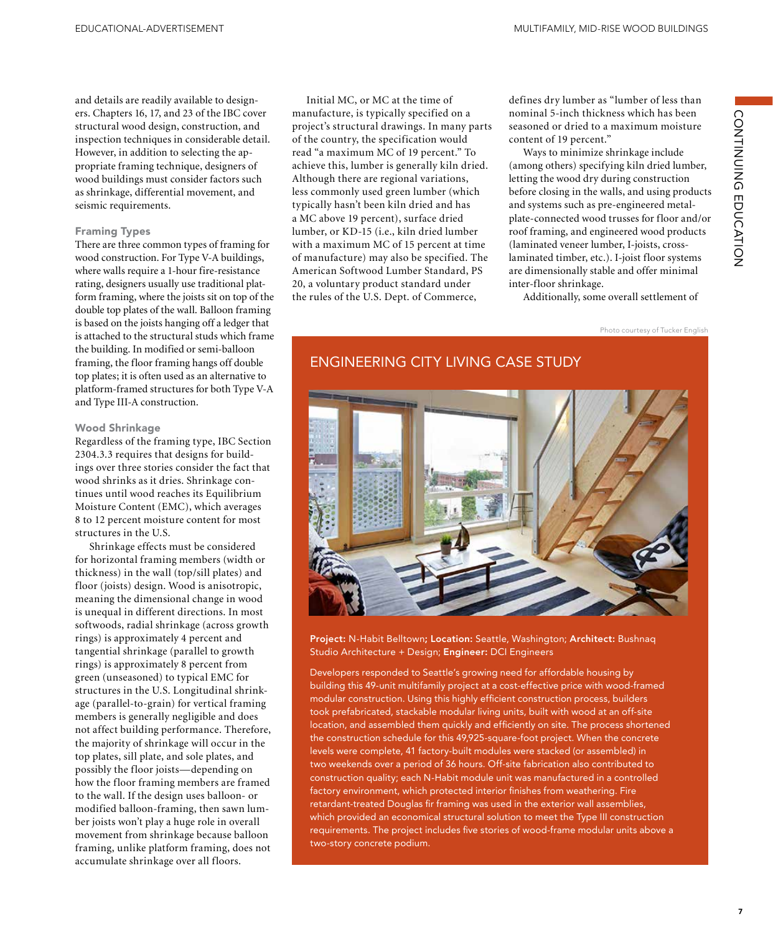and details are readily available to designers. Chapters 16, 17, and 23 of the IBC cover structural wood design, construction, and inspection techniques in considerable detail. However, in addition to selecting the appropriate framing technique, designers of wood buildings must consider factors such as shrinkage, differential movement, and seismic requirements.

#### Framing Types

There are three common types of framing for wood construction. For Type V-A buildings, where walls require a 1-hour fire-resistance rating, designers usually use traditional platform framing, where the joists sit on top of the double top plates of the wall. Balloon framing is based on the joists hanging off a ledger that is attached to the structural studs which frame the building. In modified or semi-balloon framing, the floor framing hangs off double top plates; it is often used as an alternative to platform-framed structures for both Type V-A and Type III-A construction.

#### Wood Shrinkage

Regardless of the framing type, IBC Section 2304.3.3 requires that designs for buildings over three stories consider the fact that wood shrinks as it dries. Shrinkage continues until wood reaches its Equilibrium Moisture Content (EMC), which averages 8 to 12 percent moisture content for most structures in the U.S.

Shrinkage effects must be considered for horizontal framing members (width or thickness) in the wall (top/sill plates) and floor (joists) design. Wood is anisotropic, meaning the dimensional change in wood is unequal in different directions. In most softwoods, radial shrinkage (across growth rings) is approximately 4 percent and tangential shrinkage (parallel to growth rings) is approximately 8 percent from green (unseasoned) to typical EMC for structures in the U.S. Longitudinal shrinkage (parallel-to-grain) for vertical framing members is generally negligible and does not affect building performance. Therefore, the majority of shrinkage will occur in the top plates, sill plate, and sole plates, and possibly the floor joists—depending on how the floor framing members are framed to the wall. If the design uses balloon- or modified balloon-framing, then sawn lumber joists won't play a huge role in overall movement from shrinkage because balloon framing, unlike platform framing, does not accumulate shrinkage over all floors.

Initial MC, or MC at the time of manufacture, is typically specified on a project's structural drawings. In many parts of the country, the specification would read "a maximum MC of 19 percent." To achieve this, lumber is generally kiln dried. Although there are regional variations, less commonly used green lumber (which typically hasn't been kiln dried and has a MC above 19 percent), surface dried lumber, or KD-15 (i.e., kiln dried lumber with a maximum MC of 15 percent at time of manufacture) may also be specified. The American Softwood Lumber Standard, PS 20, a voluntary product standard under the rules of the U.S. Dept. of Commerce,

defines dry lumber as "lumber of less than nominal 5-inch thickness which has been seasoned or dried to a maximum moisture content of 19 percent."

Ways to minimize shrinkage include (among others) specifying kiln dried lumber, letting the wood dry during construction before closing in the walls, and using products and systems such as pre-engineered metalplate-connected wood trusses for floor and/or roof framing, and engineered wood products (laminated veneer lumber, I-joists, crosslaminated timber, etc.). I-joist floor systems are dimensionally stable and offer minimal inter-floor shrinkage.

Additionally, some overall settlement of

Photo courtesy of Tucker English



Project: N-Habit Belltown; Location: Seattle, Washington; Architect: Bushnaq Studio Architecture + Design; Engineer: DCI Engineers

Developers responded to Seattle's growing need for affordable housing by building this 49-unit multifamily project at a cost-effective price with wood-framed modular construction. Using this highly efficient construction process, builders took prefabricated, stackable modular living units, built with wood at an off-site location, and assembled them quickly and efficiently on site. The process shortened the construction schedule for this 49,925-square-foot project. When the concrete levels were complete, 41 factory-built modules were stacked (or assembled) in two weekends over a period of 36 hours. Off-site fabrication also contributed to construction quality; each N-Habit module unit was manufactured in a controlled factory environment, which protected interior finishes from weathering. Fire retardant-treated Douglas fir framing was used in the exterior wall assemblies, which provided an economical structural solution to meet the Type III construction requirements. The project includes five stories of wood-frame modular units above a two-story concrete podium.

#### **7**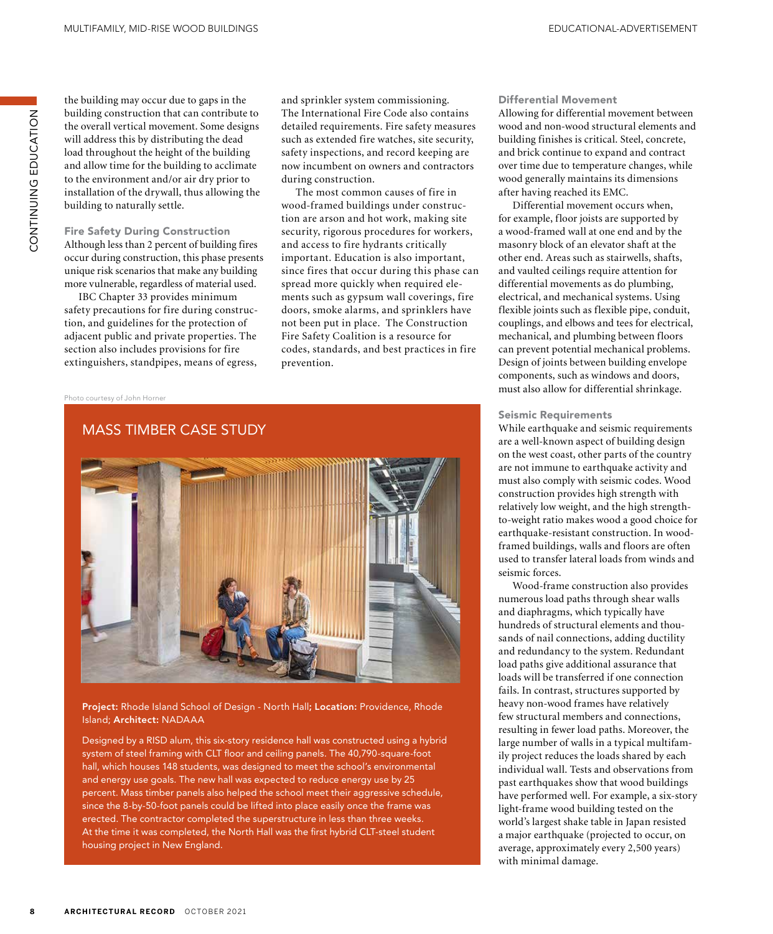CONTINUING EDUCATION ZOI-YUNG UNINNINZOU the building may occur due to gaps in the building construction that can contribute to the overall vertical movement. Some designs will address this by distributing the dead load throughout the height of the building and allow time for the building to acclimate to the environment and/or air dry prior to installation of the drywall, thus allowing the building to naturally settle.

#### Fire Safety During Construction Although less than 2 percent of building fires occur during construction, this phase presents unique risk scenarios that make any building more vulnerable, regardless of material used.

IBC Chapter 33 provides minimum safety precautions for fire during construction, and guidelines for the protection of adjacent public and private properties. The section also includes provisions for fire extinguishers, standpipes, means of egress,

Photo courtesy of John Horner

and sprinkler system commissioning. The International Fire Code also contains detailed requirements. Fire safety measures such as extended fire watches, site security, safety inspections, and record keeping are now incumbent on owners and contractors during construction.

The most common causes of fire in wood-framed buildings under construction are arson and hot work, making site security, rigorous procedures for workers, and access to fire hydrants critically important. Education is also important, since fires that occur during this phase can spread more quickly when required elements such as gypsum wall coverings, fire doors, smoke alarms, and sprinklers have not been put in place. The Construction Fire Safety Coalition is a resource for codes, standards, and best practices in fire prevention.



#### Project: Rhode Island School of Design - North Hall; Location: Providence, Rhode Island; Architect: NADAAA

Designed by a RISD alum, this six-story residence hall was constructed using a hybrid system of steel framing with CLT floor and ceiling panels. The 40,790-square-foot hall, which houses 148 students, was designed to meet the school's environmental and energy use goals. The new hall was expected to reduce energy use by 25 percent. Mass timber panels also helped the school meet their aggressive schedule, since the 8-by-50-foot panels could be lifted into place easily once the frame was erected. The contractor completed the superstructure in less than three weeks. At the time it was completed, the North Hall was the first hybrid CLT-steel student housing project in New England.

#### Differential Movement

Allowing for differential movement between wood and non-wood structural elements and building finishes is critical. Steel, concrete, and brick continue to expand and contract over time due to temperature changes, while wood generally maintains its dimensions after having reached its EMC.

Differential movement occurs when, for example, floor joists are supported by a wood-framed wall at one end and by the masonry block of an elevator shaft at the other end. Areas such as stairwells, shafts, and vaulted ceilings require attention for differential movements as do plumbing, electrical, and mechanical systems. Using flexible joints such as flexible pipe, conduit, couplings, and elbows and tees for electrical, mechanical, and plumbing between floors can prevent potential mechanical problems. Design of joints between building envelope components, such as windows and doors, must also allow for differential shrinkage.

#### Seismic Requirements

While earthquake and seismic requirements are a well-known aspect of building design on the west coast, other parts of the country are not immune to earthquake activity and must also comply with seismic codes. Wood construction provides high strength with relatively low weight, and the high strengthto-weight ratio makes wood a good choice for earthquake-resistant construction. In woodframed buildings, walls and floors are often used to transfer lateral loads from winds and seismic forces.

Wood-frame construction also provides numerous load paths through shear walls and diaphragms, which typically have hundreds of structural elements and thousands of nail connections, adding ductility and redundancy to the system. Redundant load paths give additional assurance that loads will be transferred if one connection fails. In contrast, structures supported by heavy non-wood frames have relatively few structural members and connections, resulting in fewer load paths. Moreover, the large number of walls in a typical multifamily project reduces the loads shared by each individual wall. Tests and observations from past earthquakes show that wood buildings have performed well. For example, a six-story light-frame wood building tested on the world's largest shake table in Japan resisted a major earthquake (projected to occur, on average, approximately every 2,500 years) with minimal damage.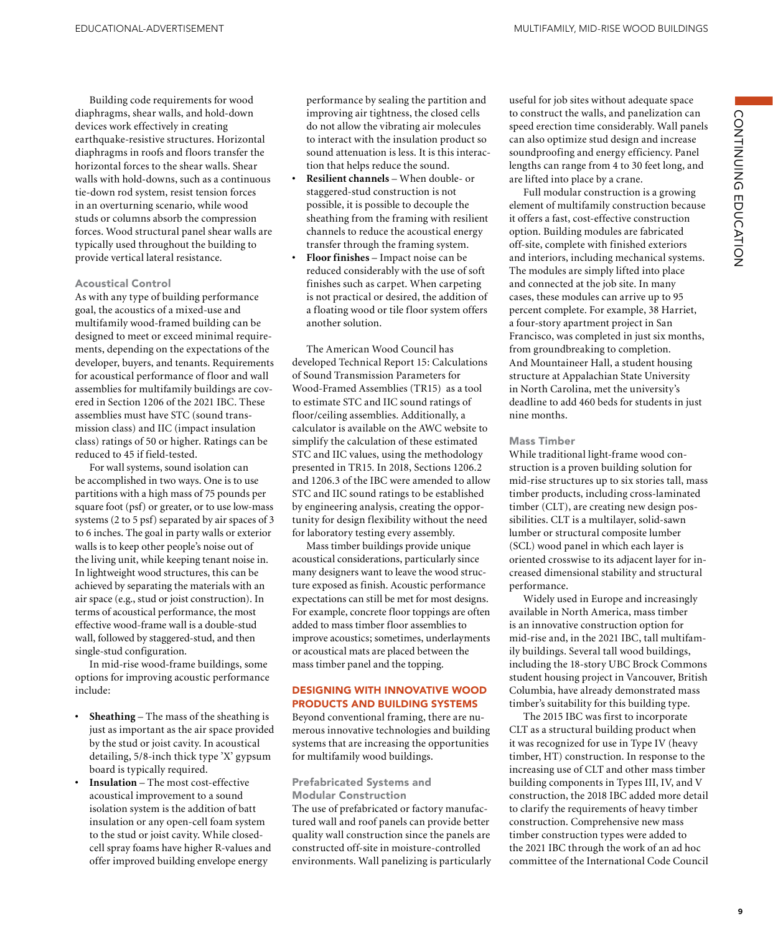Building code requirements for wood diaphragms, shear walls, and hold-down devices work effectively in creating earthquake-resistive structures. Horizontal diaphragms in roofs and floors transfer the horizontal forces to the shear walls. Shear walls with hold-downs, such as a continuous tie-down rod system, resist tension forces in an overturning scenario, while wood studs or columns absorb the compression forces. Wood structural panel shear walls are typically used throughout the building to provide vertical lateral resistance.

#### Acoustical Control

As with any type of building performance goal, the acoustics of a mixed-use and multifamily wood-framed building can be designed to meet or exceed minimal requirements, depending on the expectations of the developer, buyers, and tenants. Requirements for acoustical performance of floor and wall assemblies for multifamily buildings are covered in Section 1206 of the 2021 IBC. These assemblies must have STC (sound transmission class) and IIC (impact insulation class) ratings of 50 or higher. Ratings can be reduced to 45 if field-tested.

For wall systems, sound isolation can be accomplished in two ways. One is to use partitions with a high mass of 75 pounds per square foot (psf) or greater, or to use low-mass systems (2 to 5 psf) separated by air spaces of 3 to 6 inches. The goal in party walls or exterior walls is to keep other people's noise out of the living unit, while keeping tenant noise in. In lightweight wood structures, this can be achieved by separating the materials with an air space (e.g., stud or joist construction). In terms of acoustical performance, the most effective wood-frame wall is a double-stud wall, followed by staggered-stud, and then single-stud configuration.

In mid-rise wood-frame buildings, some options for improving acoustic performance include:

- **• Sheathing** The mass of the sheathing is just as important as the air space provided by the stud or joist cavity. In acoustical detailing, 5/8-inch thick type 'X' gypsum board is typically required.
- **• Insulation** The most cost-effective acoustical improvement to a sound isolation system is the addition of batt insulation or any open-cell foam system to the stud or joist cavity. While closedcell spray foams have higher R-values and offer improved building envelope energy

performance by sealing the partition and improving air tightness, the closed cells do not allow the vibrating air molecules to interact with the insulation product so sound attenuation is less. It is this interaction that helps reduce the sound.

- **• Resilient channels** When double- or staggered-stud construction is not possible, it is possible to decouple the sheathing from the framing with resilient channels to reduce the acoustical energy transfer through the framing system.
- **• Floor finishes** Impact noise can be reduced considerably with the use of soft finishes such as carpet. When carpeting is not practical or desired, the addition of a floating wood or tile floor system offers another solution.

The American Wood Council has developed Technical Report 15: Calculations of Sound Transmission Parameters for Wood-Framed Assemblies (TR15) as a tool to estimate STC and IIC sound ratings of floor/ceiling assemblies. Additionally, a calculator is available on the AWC website to simplify the calculation of these estimated STC and IIC values, using the methodology presented in TR15. In 2018, Sections 1206.2 and 1206.3 of the IBC were amended to allow STC and IIC sound ratings to be established by engineering analysis, creating the opportunity for design flexibility without the need for laboratory testing every assembly.

Mass timber buildings provide unique acoustical considerations, particularly since many designers want to leave the wood structure exposed as finish. Acoustic performance expectations can still be met for most designs. For example, concrete floor toppings are often added to mass timber floor assemblies to improve acoustics; sometimes, underlayments or acoustical mats are placed between the mass timber panel and the topping.

#### DESIGNING WITH INNOVATIVE WOOD PRODUCTS AND BUILDING SYSTEMS

Beyond conventional framing, there are numerous innovative technologies and building systems that are increasing the opportunities for multifamily wood buildings.

#### Prefabricated Systems and Modular Construction

The use of prefabricated or factory manufactured wall and roof panels can provide better quality wall construction since the panels are constructed off-site in moisture-controlled environments. Wall panelizing is particularly useful for job sites without adequate space to construct the walls, and panelization can speed erection time considerably. Wall panels can also optimize stud design and increase soundproofing and energy efficiency. Panel lengths can range from 4 to 30 feet long, and are lifted into place by a crane.

Full modular construction is a growing element of multifamily construction because it offers a fast, cost-effective construction option. Building modules are fabricated off-site, complete with finished exteriors and interiors, including mechanical systems. The modules are simply lifted into place and connected at the job site. In many cases, these modules can arrive up to 95 percent complete. For example, 38 Harriet, a four-story apartment project in San Francisco, was completed in just six months, from groundbreaking to completion. And Mountaineer Hall, a student housing structure at Appalachian State University in North Carolina, met the university's deadline to add 460 beds for students in just nine months.

#### Mass Timber

While traditional light-frame wood construction is a proven building solution for mid-rise structures up to six stories tall, mass timber products, including cross-laminated timber (CLT), are creating new design possibilities. CLT is a multilayer, solid-sawn lumber or structural composite lumber (SCL) wood panel in which each layer is oriented crosswise to its adjacent layer for increased dimensional stability and structural performance.

Widely used in Europe and increasingly available in North America, mass timber is an innovative construction option for mid-rise and, in the 2021 IBC, tall multifamily buildings. Several tall wood buildings, including the 18-story UBC Brock Commons student housing project in Vancouver, British Columbia, have already demonstrated mass timber's suitability for this building type.

The 2015 IBC was first to incorporate CLT as a structural building product when it was recognized for use in Type IV (heavy timber, HT) construction. In response to the increasing use of CLT and other mass timber building components in Types III, IV, and V construction, the 2018 IBC added more detail to clarify the requirements of heavy timber construction. Comprehensive new mass timber construction types were added to the 2021 IBC through the work of an ad hoc committee of the International Code Council